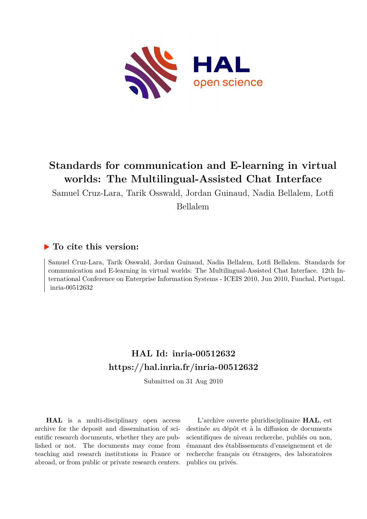

# **Standards for communication and E-learning in virtual worlds: The Multilingual-Assisted Chat Interface**

Samuel Cruz-Lara, Tarik Osswald, Jordan Guinaud, Nadia Bellalem, Lotfi Bellalem

# **To cite this version:**

Samuel Cruz-Lara, Tarik Osswald, Jordan Guinaud, Nadia Bellalem, Lotfi Bellalem. Standards for communication and E-learning in virtual worlds: The Multilingual-Assisted Chat Interface. 12th International Conference on Enterprise Information Systems - ICEIS 2010, Jun 2010, Funchal, Portugal. inria-00512632

# **HAL Id: inria-00512632 <https://hal.inria.fr/inria-00512632>**

Submitted on 31 Aug 2010

**HAL** is a multi-disciplinary open access archive for the deposit and dissemination of scientific research documents, whether they are published or not. The documents may come from teaching and research institutions in France or abroad, or from public or private research centers.

L'archive ouverte pluridisciplinaire **HAL**, est destinée au dépôt et à la diffusion de documents scientifiques de niveau recherche, publiés ou non, émanant des établissements d'enseignement et de recherche français ou étrangers, des laboratoires publics ou privés.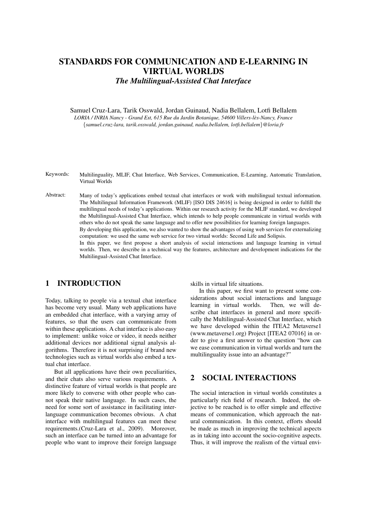# STANDARDS FOR COMMUNICATION AND E-LEARNING IN VIRTUAL WORLDS *The Multilingual-Assisted Chat Interface*

Samuel Cruz-Lara, Tarik Osswald, Jordan Guinaud, Nadia Bellalem, Lotfi Bellalem

*LORIA / INRIA Nancy - Grand Est, 615 Rue du Jardin Botanique, 54600 Villers-les-Nancy, France `* {*samuel.cruz-lara, tarik.osswald, jordan.guinaud, nadia.bellalem, lotfi.bellalem*}*@loria.fr*

- Keywords: Multilinguality, MLIF, Chat Interface, Web Services, Communication, E-Learning, Automatic Translation, Virtual Worlds
- Abstract: Many of today's applications embed textual chat interfaces or work with multilingual textual information. The Multilingual Information Framework (MLIF) [ISO DIS 24616] is being designed in order to fulfill the multilingual needs of today's applications. Within our research activity for the MLIF standard, we developed the Multilingual-Assisted Chat Interface, which intends to help people communicate in virtual worlds with others who do not speak the same language and to offer new possibilities for learning foreign languages. By developing this application, we also wanted to show the advantages of using web services for externalizing computation: we used the same web service for two virtual worlds: Second Life and Solipsis. In this paper, we first propose a short analysis of social interactions and language learning in virtual worlds. Then, we describe in a technical way the features, architecture and development indications for the Multilingual-Assisted Chat Interface.

# 1 INTRODUCTION

Today, talking to people via a textual chat interface has become very usual. Many web applications have an embedded chat interface, with a varying array of features, so that the users can communicate from within these applications. A chat interface is also easy to implement: unlike voice or video, it needs neither additional devices nor additional signal analysis algorithms. Therefore it is not surprising if brand new technologies such as virtual worlds also embed a textual chat interface.

But all applications have their own peculiarities, and their chats also serve various requirements. A distinctive feature of virtual worlds is that people are more likely to converse with other people who cannot speak their native language. In such cases, the need for some sort of assistance in facilitating interlanguage communication becomes obvious. A chat interface with multilingual features can meet these requirements.(Cruz-Lara et al., 2009). Moreover, such an interface can be turned into an advantage for people who want to improve their foreign language skills in virtual life situations.

In this paper, we first want to present some considerations about social interactions and language learning in virtual worlds. Then, we will describe chat interfaces in general and more specifically the Multilingual-Assisted Chat Interface, which we have developed within the ITEA2 Metaverse1 (www.metaverse1.org) Project [ITEA2 07016] in order to give a first answer to the question "how can we ease communication in virtual worlds and turn the multilinguality issue into an advantage?"

# 2 SOCIAL INTERACTIONS

The social interaction in virtual worlds constitutes a particularly rich field of research. Indeed, the objective to be reached is to offer simple and effective means of communication, which approach the natural communication. In this context, efforts should be made as much in improving the technical aspects as in taking into account the socio-cognitive aspects. Thus, it will improve the realism of the virtual envi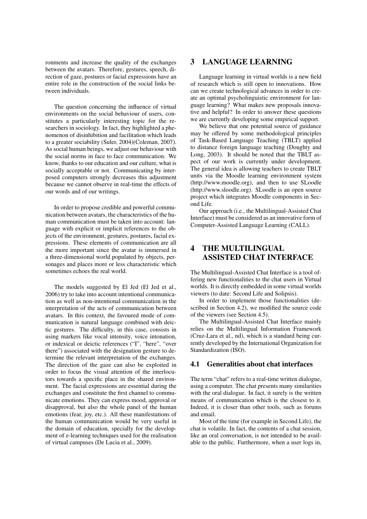ronments and increase the quality of the exchanges between the avatars. Therefore, gestures, speech, direction of gaze, postures or facial expressions have an entire role in the construction of the social links between individuals.

The question concerning the influence of virtual environments on the social behaviour of users, constitutes a particularly interesting topic for the researchers in sociology. In fact, they highlighted a phenomenon of disinhibition and facilitation which leads to a greater sociability (Suler, 2004)(Coleman, 2007). As social human beings, we adjust our behaviour with the social norms in face to face communication. We know, thanks to our education and our culture, what is socially acceptable or not. Communicating by interposed computers strongly decreases this adjustment because we cannot observe in real-time the effects of our words and of our writings.

In order to propose credible and powerful communication between avatars, the characteristics of the human communication must be taken into account: language with explicit or implicit references to the objects of the environment, gestures, postures, facial expressions. These elements of communication are all the more important since the avatar is immersed in a three-dimensional world populated by objects, personages and places more or less characteristic which sometimes echoes the real world.

The models suggested by El Jed (El Jed et al., 2006) try to take into account intentional communication as well as non-intentional communication in the interpretation of the acts of communication between avatars. In this context, the favoured mode of communication is natural language combined with deictic gestures. The difficulty, in this case, consists in using markers like vocal intensity, voice intonation, or indexical or deictic references ("I", "here", "over there") associated with the designation gesture to determine the relevant interpretation of the exchanges. The direction of the gaze can also be exploited in order to focus the visual attention of the interlocutors towards a specific place in the shared environment. The facial expressions are essential during the exchanges and constitute the first channel to communicate emotions. They can express mood, approval or disapproval, but also the whole panel of the human emotions (fear, joy, etc.). All these manifestations of the human communication would be very useful in the domain of education, specially for the development of e-learning techniques used for the realisation of virtual campuses (De Lucia et al., 2009).

# 3 LANGUAGE LEARNING

Language learning in virtual worlds is a new field of research which is still open to innovations. How can we create technological advances in order to create an optimal psycholinguistic environment for language learning? What makes new proposals innovative and helpful? In order to answer these questions we are currently developing some empirical support.

We believe that one potential source of guidance may be offered by some methodological principles of Task-Based Language Teaching (TBLT) applied to distance foreign language teaching (Doughty and Long, 2003). It should be noted that the TBLT aspect of our work is currently under development. The general idea is allowing teachers to create TBLT units via the Moodle learning environment system (http://www.moodle.org), and then to use SLoodle (http://www.sloodle.org). SLoodle is an open source project which integrates Moodle components in Second Life.

Our approach (i.e., the Multilingual-Assisted Chat Interface) must be considered as an innovative form of Computer-Assisted Language Learning (CALL).

# 4 THE MULTILINGUAL ASSISTED CHAT INTERFACE

The Multilingual-Assisted Chat Interface is a tool offering new functionalities to the chat users in Virtual worlds. It is directly embedded in some virtual worlds viewers (to date: Second Life and Solipsis).

In order to implement those functionalities (described in Section 4.2), we modified the source code of the viewers (see Section 4.5).

The Multilingual-Assisted Chat Interface mainly relies on the Multilingual Information Framework (Cruz-Lara et al., nd), which is a standard being currently developed by the International Organization for Standardization (ISO).

#### 4.1 Generalities about chat interfaces

The term "chat" refers to a real-time written dialogue, using a computer. The chat presents many similarities with the oral dialogue. In fact, it surely is the written means of communication which is the closest to it. Indeed, it is closer than other tools, such as forums and email.

Most of the time (for example in Second Life), the chat is volatile. In fact, the contents of a chat session, like an oral conversation, is not intended to be available to the public. Furthermore, when a user logs in,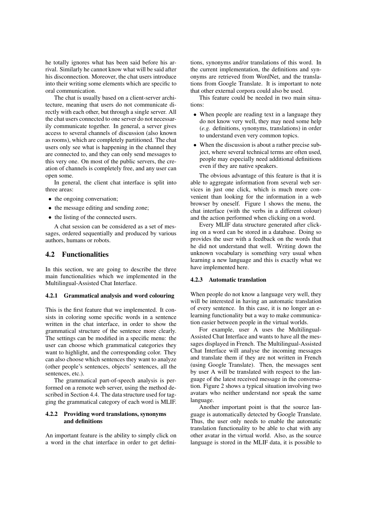he totally ignores what has been said before his arrival. Similarly he cannot know what will be said after his disconnection. Moreover, the chat users introduce into their writing some elements which are specific to oral communication.

The chat is usually based on a client-server architecture, meaning that users do not communicate directly with each other, but through a single server. All the chat users connected to one server do not necessarily communicate together. In general, a server gives access to several channels of discussion (also known as rooms), which are completely partitioned. The chat users only see what is happening in the channel they are connected to, and they can only send messages to this very one. On most of the public servers, the creation of channels is completely free, and any user can open some.

In general, the client chat interface is split into three areas:

- the ongoing conversation;
- the message editing and sending zone;
- the listing of the connected users.

A chat session can be considered as a set of messages, ordered sequentially and produced by various authors, humans or robots.

## 4.2 Functionalities

In this section, we are going to describe the three main functionalities which we implemented in the Multilingual-Assisted Chat Interface.

#### 4.2.1 Grammatical analysis and word colouring

This is the first feature that we implemented. It consists in coloring some specific words in a sentence written in the chat interface, in order to show the grammatical structure of the sentence more clearly. The settings can be modified in a specific menu: the user can choose which grammatical categories they want to highlight, and the corresponding color. They can also choose which sentences they want to analyze (other people's sentences, objects' sentences, all the sentences, etc.).

The grammatical part-of-speech analysis is performed on a remote web server, using the method described in Section 4.4. The data structure used for tagging the grammatical category of each word is MLIF.

## 4.2.2 Providing word translations, synonyms and definitions

An important feature is the ability to simply click on a word in the chat interface in order to get defini-

tions, synonyms and/or translations of this word. In the current implementation, the definitions and synonyms are retrieved from WordNet, and the translations from Google Translate. It is important to note that other external corpora could also be used.

This feature could be needed in two main situations:

- When people are reading text in a language they do not know very well, they may need some help (*e.g.* definitions, synonyms, translations) in order to understand even very common topics.
- When the discussion is about a rather precise subject, where several technical terms are often used, people may especially need additional definitions even if they are native speakers.

The obvious advantage of this feature is that it is able to aggregate information from several web services in just one click, which is much more convenient than looking for the information in a web browser by oneself. Figure 1 shows the menu, the chat interface (with the verbs in a different colour) and the action performed when clicking on a word.

Every MLIF data structure generated after clicking on a word can be stored in a database. Doing so provides the user with a feedback on the words that he did not understand that well. Writing down the unknown vocabulary is something very usual when learning a new language and this is exactly what we have implemented here.

#### 4.2.3 Automatic translation

When people do not know a language very well, they will be interested in having an automatic translation of every sentence. In this case, it is no longer an elearning functionality but a way to make communication easier between people in the virtual worlds.

For example, user A uses the Multilingual-Assisted Chat Interface and wants to have all the messages displayed in French. The Multilingual-Assisted Chat Interface will analyse the incoming messages and translate them if they are not written in French (using Google Translate). Then, the messages sent by user A will be translated with respect to the language of the latest received message in the conversation. Figure 2 shows a typical situation involving two avatars who neither understand nor speak the same language.

Another important point is that the source language is automatically detected by Google Translate. Thus, the user only needs to enable the automatic translation functionality to be able to chat with any other avatar in the virtual world. Also, as the source language is stored in the MLIF data, it is possible to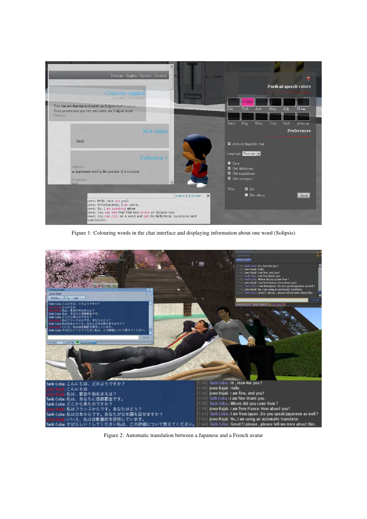

Figure 1: Colouring words in the chat interface and displaying information about one word (Solipsis)



Figure 2: Automatic translation between a Japanese and a French avatar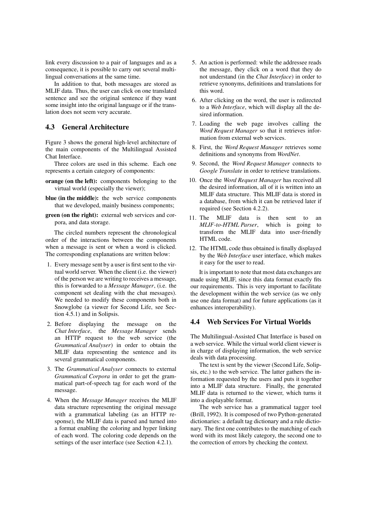link every discussion to a pair of languages and as a consequence, it is possible to carry out several multilingual conversations at the same time.

In addition to that, both messages are stored as MLIF data. Thus, the user can click on one translated sentence and see the original sentence if they want some insight into the original language or if the translation does not seem very accurate.

# 4.3 General Architecture

Figure 3 shows the general high-level architecture of the main components of the Multilingual Assisted Chat Interface.

Three colors are used in this scheme. Each one represents a certain category of components:

- orange (on the left): components belonging to the virtual world (especially the viewer);
- blue (in the middle): the web service components that we developed, mainly business components;
- green (on the right): external web services and corpora, and data storage.

The circled numbers represent the chronological order of the interactions between the components when a message is sent or when a word is clicked. The corresponding explanations are written below:

- 1. Every message sent by a user is first sent to the virtual world server. When the client (i.e. the viewer) of the person we are writing to receives a message, this is forwarded to a *Message Manager*, (i.e. the component set dealing with the chat messages). We needed to modify these components both in Snowglobe (a viewer for Second Life, see Section 4.5.1) and in Solipsis.
- 2. Before displaying the message on the *Chat Interface*, the *Message Manager* sends an HTTP request to the web service (the *Grammatical Analyser*) in order to obtain the MLIF data representing the sentence and its several grammatical components.
- 3. The *Grammatical Analyser* connects to external *Grammatical Corpora* in order to get the grammatical part-of-speech tag for each word of the message.
- 4. When the *Message Manager* receives the MLIF data structure representing the original message with a grammatical labeling (as an HTTP response), the MLIF data is parsed and turned into a format enabling the coloring and hyper linking of each word. The coloring code depends on the settings of the user interface (see Section 4.2.1).
- 5. An action is performed: while the addressee reads the message, they click on a word that they do not understand (in the *Chat Interface*) in order to retrieve synonyms, definitions and translations for this word.
- 6. After clicking on the word, the user is redirected to a *Web Interface*, which will display all the desired information.
- 7. Loading the web page involves calling the *Word Request Manager* so that it retrieves information from external web services.
- 8. First, the *Word Request Manager* retrieves some definitions and synonyms from *WordNet*.
- 9. Second, the *Word Request Manager* connects to *Google Translate* in order to retrieve translations.
- 10. Once the *Word Request Manager* has received all the desired information, all of it is written into an MLIF data structure. This MLIF data is stored in a database, from which it can be retrieved later if required (see Section 4.2.2).
- 11. The MLIF data is then sent to an *MLIF-to-HTML Parser*, which is going to transform the MLIF data into user-friendly HTML code.
- 12. The HTML code thus obtained is finally displayed by the *Web Interface* user interface, which makes it easy for the user to read.

It is important to note that most data exchanges are made using MLIF, since this data format exactly fits our requirements. This is very important to facilitate the development within the web service (as we only use one data format) and for future applications (as it enhances interoperability).

#### 4.4 Web Services For Virtual Worlds

The Multilingual-Assisted Chat Interface is based on a web service. While the virtual world client viewer is in charge of displaying information, the web service deals with data processing.

The text is sent by the viewer (Second Life, Solipsis, etc.) to the web service. The latter gathers the information requested by the users and puts it together into a MLIF data structure. Finally, the generated MLIF data is returned to the viewer, which turns it into a displayable format.

The web service has a grammatical tagger tool (Brill, 1992). It is composed of two Python-generated dictionaries: a default tag dictionary and a rule dictionary. The first one contributes to the matching of each word with its most likely category, the second one to the correction of errors by checking the context.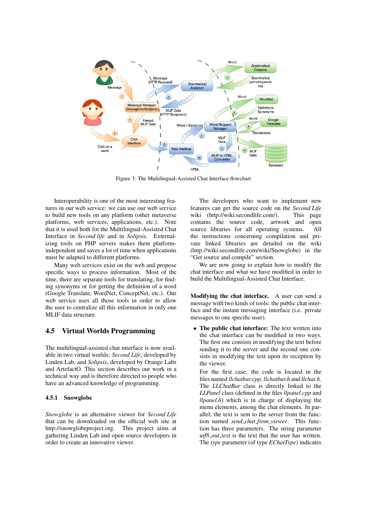

Figure 3: The Multilingual-Assisted Chat Interface flowchart

Interoperability is one of the most interesting features in our web service: we can use our web service to build new tools on any platform (other metaverse platforms, web services, applications, etc.). Note that it is used both for the Multilingual-Assisted Chat Interface in *Second life* and in *Solipsis*. Externalizing tools on PHP servers makes them platformindependent and saves a lot of time when applications must be adapted to different platforms.

Many web services exist on the web and propose specific ways to process information. Most of the time, there are separate tools for translating, for finding synonyms or for getting the definition of a word (Google Translate, WordNet, ConceptNet, etc.). Our web service uses all those tools in order to allow the user to centralize all this information in only one MLIF data structure.

# 4.5 Virtual Worlds Programming

The multilingual-assisted chat interface is now available in two virtual worlds: *Second Life*, developed by Linden Lab, and *Solipsis*, developed by Orange Labs and ArtefactO. This section describes our work in a technical way and is therefore directed to people who have an advanced knowledge of programming.

#### 4.5.1 Snowglobe

*Snowglobe* is an alternative viewer for *Second Life* that can be downloaded on the official web site at http://snowglobeproject.org. This project aims at gathering Linden Lab and open source developers in order to create an innovative viewer.

The developers who want to implement new features can get the source code on the *Second Life* wiki (http://wiki.secondlife.com/). This page contains the source code, artwork and open source libraries for all operating systems. All the instructions concerning compilation and private linked libraries are detailed on the wiki (http://wiki.secondlife.com/wiki/Snowglobe) in the "Get source and compile" section.

We are now going to explain how to modify the chat interface and what we have modified in order to build the Multilingual-Assisted Chat Interface.

Modifying the chat interface. A user can send a message with two kinds of tools: the public chat interface and the instant messaging interface (i.e. private messages to one specific user).

• The public chat interface: The text written into the chat interface can be modified in two ways. The first one consists in modifying the text before sending it to the server and the second one consists in modifying the text upon its reception by the viewer.

For the first case, the code is located in the files named *llchatbar.cpp*, *llchatbar.h* and *llchat.h*. The *LLChatBar* class is directly linked to the *LLPanel* class (defined in the files *llpanel.cpp* and *llpanel.h*) which is in charge of displaying the menu elements, among the chat elements. In parallel, the text is sent to the server from the function named *send chat from viewer*. This function has three parameters. The string parameter *utf8 out text* is the text that the user has written. The *type* parameter (of type *EChatType*) indicates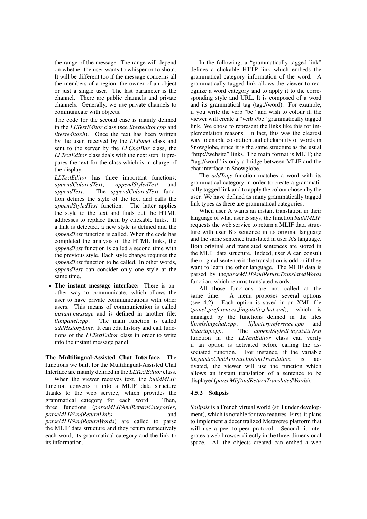the range of the message. The range will depend on whether the user wants to whisper or to shout. It will be different too if the message concerns all the members of a region, the owner of an object or just a single user. The last parameter is the channel. There are public channels and private channels. Generally, we use private channels to communicate with objects.

The code for the second case is mainly defined in the *LLTextEditor* class (see *lltexteditor.cpp* and *lltexteditor.h*). Once the text has been written by the user, received by the *LLPanel* class and sent to the server by the *LLChatBar* class, the *LLTextEditor* class deals with the next step: it prepares the text for the class which is in charge of the display.

*LLTextEditor* has three important functions: *appendColoredText*, *appendStyledText* and *appendText*. The *appendColoredText* function defines the style of the text and calls the *appendStyledText* function. The latter applies the style to the text and finds out the HTML addresses to replace them by clickable links. If a link is detected, a new style is defined and the *appendText* function is called. When the code has completed the analysis of the HTML links, the *appendText* function is called a second time with the previous style. Each style change requires the *appendText* function to be called. In other words, *appendText* can consider only one style at the same time.

• The instant message interface: There is another way to communicate, which allows the user to have private communications with other users. This means of communication is called *instant message* and is defined in another file: *llimpanel.cpp*. The main function is called *addHistoryLine*. It can edit history and call functions of the *LLTextEditor* class in order to write into the instant message panel.

The Multilingual-Assisted Chat Interface. The functions we built for the Multilingual-Assisted Chat Interface are mainly defined in the *LLTextEditor* class.

When the viewer receives text, the *buildMLIF* function converts it into a MLIF data structure thanks to the web service, which provides the grammatical category for each word. Then, three functions (*parseMLIFAndReturnCategories*, *parseMLIFAndReturnLinks* and *parseMLIFAndReturnWords*) are called to parse the MLIF data structure and they return respectively each word, its grammatical category and the link to its information.

In the following, a "grammatically tagged link" defines a clickable HTTP link which embeds the grammatical category information of the word. A grammatically tagged link allows the viewer to recognize a word category and to apply it to the corresponding style and URL. It is composed of a word and its grammatical tag (tag://word). For example, if you write the verb "be" and wish to colour it, the viewer will create a "verb://be" grammatically tagged link. We chose to represent the links like this for implementation reasons. In fact, this was the clearest way to enable coloration and clickability of words in Snowglobe, since it is the same structure as the usual "http://website" links. The main format is MLIF; the "tag://word" is only a bridge between MLIF and the chat interface in Snowglobe.

The *addTags* function matches a word with its grammatical category in order to create a grammatically tagged link and to apply the colour chosen by the user. We have defined as many grammatically tagged link types as there are grammatical categories.

When user A wants an instant translation in their language of what user B says, the function *buildMLIF* requests the web service to return a MLIF data structure with user Bís sentence in its original language and the same sentence translated in user A's language. Both original and translated sentences are stored in the MLIF data structure. Indeed, user A can consult the original sentence if the translation is odd or if they want to learn the other language. The MLIF data is parsed by the*parseMLIFAndReturnTranslatedWords* function, which returns translated words.

All those functions are not called at the same time. A menu proposes several options (see 4.2). Each option is saved in an XML file (*panel preferences linguistic chat.xml*), which is managed by the functions defined in the files *llprefslingchat.cpp*, *llfloaterpreference.cpp* and *llstartup.cpp*. The *appendStyledLinguisticText* function in the *LLTextEditor* class can verify if an option is activated before calling the associated function. For instance, if the variable *linguisticChatActivateInstantTranslation* is activated, the viewer will use the function which allows an instant translation of a sentence to be displayed(*parseMlifAndReturnTranslatedWords*).

#### 4.5.2 Solipsis

*Solipsis* is a French virtual world (still under development), which is notable for two features. First, it plans to implement a decentralized Metaverse platform that will use a peer-to-peer protocol. Second, it integrates a web browser directly in the three-dimensional space. All the objects created can embed a web